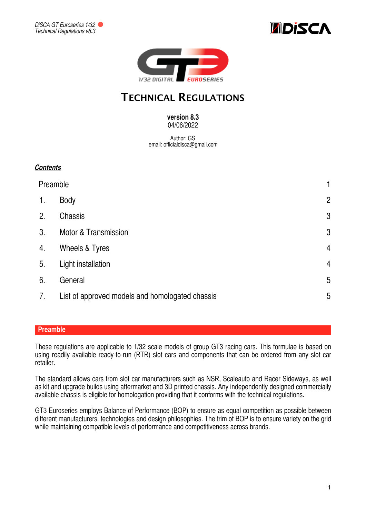





# **TECHNICAL REGULATIONS**

### **version 8.3**  04/06/2022

Author: GS email: officialdisca@gmail.com

# *Contents*

| Preamble       |                                                 | 1              |
|----------------|-------------------------------------------------|----------------|
| 1.             | <b>Body</b>                                     | $\overline{2}$ |
| 2.             | Chassis                                         | $\mathfrak{B}$ |
| 3 <sub>1</sub> | <b>Motor &amp; Transmission</b>                 | $\mathfrak{B}$ |
| 4.             | Wheels & Tyres                                  | $\overline{4}$ |
| 5.             | Light installation                              | $\overline{4}$ |
| 6.             | General                                         | 5              |
| 7.             | List of approved models and homologated chassis | 5              |

# <span id="page-0-0"></span>**Preamble**

These regulations are applicable to 1/32 scale models of group GT3 racing cars. This formulae is based on using readily available ready-to-run (RTR) slot cars and components that can be ordered from any slot car retailer.

The standard allows cars from slot car manufacturers such as NSR, Scaleauto and Racer Sideways, as well as kit and upgrade builds using aftermarket and 3D printed chassis. Any independently designed commercially available chassis is eligible for homologation providing that it conforms with the technical regulations.

GT3 Euroseries employs Balance of Performance (BOP) to ensure as equal competition as possible between different manufacturers, technologies and design philosophies. The trim of BOP is to ensure variety on the grid while maintaining compatible levels of performance and competitiveness across brands.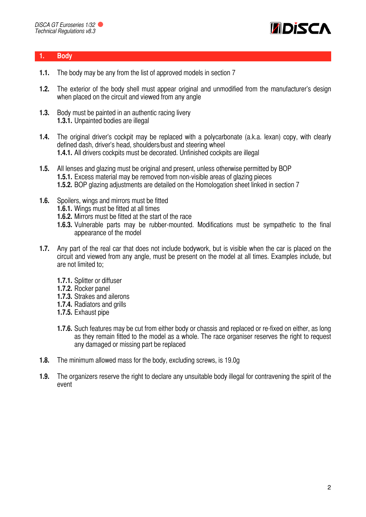

### <span id="page-1-0"></span>**1. Body**

- **1.1.** The body may be any from the list of approved models in section 7
- **1.2.** The exterior of the body shell must appear original and unmodified from the manufacturer's design when placed on the circuit and viewed from any angle
- **1.3.** Body must be painted in an authentic racing livery **1.3.1.** Unpainted bodies are illegal
- **1.4.** The original driver's cockpit may be replaced with a polycarbonate (a.k.a. lexan) copy, with clearly defined dash, driver's head, shoulders/bust and steering wheel **1.4.1.** All drivers cockpits must be decorated. Unfinished cockpits are illegal
- **1.5.** All lenses and glazing must be original and present, unless otherwise permitted by BOP **1.5.1.** Excess material may be removed from non-visible areas of glazing pieces **1.5.2.** BOP glazing adjustments are detailed on the Homologation sheet linked in section 7
- **1.6.** Spoilers, wings and mirrors must be fitted
	- **1.6.1.** Wings must be fitted at all times
	- **1.6.2.** Mirrors must be fitted at the start of the race
	- **1.6.3.** Vulnerable parts may be rubber-mounted. Modifications must be sympathetic to the final appearance of the model
- **1.7.** Any part of the real car that does not include bodywork, but is visible when the car is placed on the circuit and viewed from any angle, must be present on the model at all times. Examples include, but are not limited to;
	- **1.7.1.** Splitter or diffuser
	- **1.7.2.** Rocker panel
	- **1.7.3.** Strakes and ailerons
	- **1.7.4.** Radiators and grills
	- **1.7.5.** Exhaust pipe
	- **1.7.6.** Such features may be cut from either body or chassis and replaced or re-fixed on either, as long as they remain fitted to the model as a whole. The race organiser reserves the right to request any damaged or missing part be replaced
- **1.8.** The minimum allowed mass for the body, excluding screws, is 19.0g
- **1.9.** The organizers reserve the right to declare any unsuitable body illegal for contravening the spirit of the event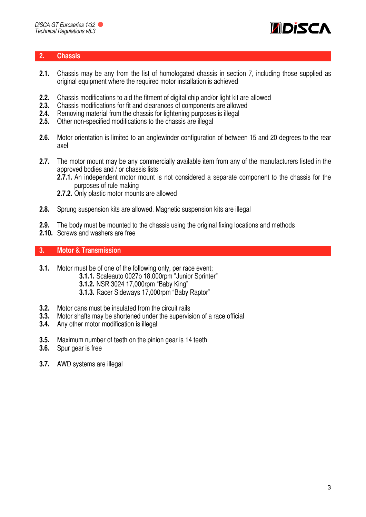

## <span id="page-2-0"></span>**2. Chassis**

- **2.1.** Chassis may be any from the list of homologated chassis in section 7, including those supplied as original equipment where the required motor installation is achieved
- **2.2.** Chassis modifications to aid the fitment of digital chip and/or light kit are allowed
- **2.3.** Chassis modifications for fit and clearances of components are allowed
- **2.4.** Removing material from the chassis for lightening purposes is illegal
- **2.5.** Other non-specified modifications to the chassis are illegal
- **2.6.** Motor orientation is limited to an anglewinder configuration of between 15 and 20 degrees to the rear axel
- **2.7.** The motor mount may be any commercially available item from any of the manufacturers listed in the approved bodies and / or chassis lists
	- **2.7.1.** An independent motor mount is not considered a separate component to the chassis for the purposes of rule making
	- **2.7.2.** Only plastic motor mounts are allowed
- **2.8.** Sprung suspension kits are allowed. Magnetic suspension kits are illegal
- **2.9.** The body must be mounted to the chassis using the original fixing locations and methods
- **2.10.** Screws and washers are free

# <span id="page-2-1"></span>**3. Motor & Transmission**

- **3.1.** Motor must be of one of the following only, per race event;
	- **3.1.1.** Scaleauto 0027b 18,000rpm "Junior Sprinter"
		- **3.1.2.** NSR 3024 17,000rpm "Baby King"
		- **3.1.3.** Racer Sideways 17,000rpm "Baby Raptor"
- **3.2.** Motor cans must be insulated from the circuit rails
- **3.3.** Motor shafts may be shortened under the supervision of a race official
- **3.4.** Any other motor modification is illegal
- **3.5.** Maximum number of teeth on the pinion gear is 14 teeth
- **3.6.** Spur gear is free
- **3.7.** AWD systems are illegal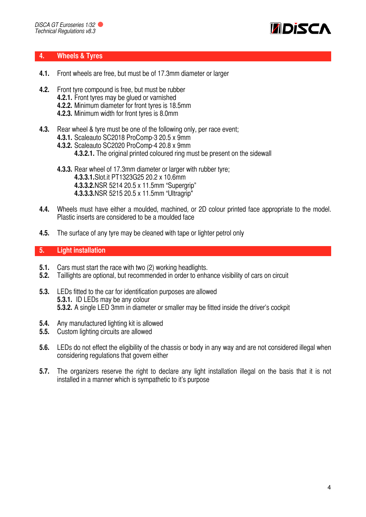

#### <span id="page-3-0"></span>**4. Wheels & Tyres**

- **4.1.** Front wheels are free, but must be of 17.3mm diameter or larger
- **4.2.** Front tyre compound is free, but must be rubber
	- **4.2.1.** Front tyres may be glued or varnished
	- **4.2.2.** Minimum diameter for front tyres is 18.5mm
	- **4.2.3.** Minimum width for front tyres is 8.0mm
- **4.3.** Rear wheel & tyre must be one of the following only, per race event;
	- **4.3.1.** Scaleauto SC2018 ProComp-3 20.5 x 9mm
	- **4.3.2.** Scaleauto SC2020 ProComp-4 20.8 x 9mm
		- **4.3.2.1.** The original printed coloured ring must be present on the sidewall
	- **4.3.3.** Rear wheel of 17.3mm diameter or larger with rubber tyre; **4.3.3.1.**Slot.it PT1323G25 20.2 x 10.6mm **4.3.3.2.**NSR 5214 20.5 x 11.5mm "Supergrip" **4.3.3.3.**NSR 5215 20.5 x 11.5mm "Ultragrip"
- **4.4.** Wheels must have either a moulded, machined, or 2D colour printed face appropriate to the model. Plastic inserts are considered to be a moulded face
- **4.5.** The surface of any tyre may be cleaned with tape or lighter petrol only

# <span id="page-3-1"></span>**5. Light installation**

- **5.1.** Cars must start the race with two (2) working headlights.
- **5.2.** Taillights are optional, but recommended in order to enhance visibility of cars on circuit
- **5.3.** LEDs fitted to the car for identification purposes are allowed **5.3.1.** ID LEDs may be any colour **5.3.2.** A single LED 3mm in diameter or smaller may be fitted inside the driver's cockpit
- **5.4.** Any manufactured lighting kit is allowed
- **5.5.** Custom lighting circuits are allowed
- **5.6.** LEDs do not effect the eligibility of the chassis or body in any way and are not considered illegal when considering regulations that govern either
- **5.7.** The organizers reserve the right to declare any light installation illegal on the basis that it is not installed in a manner which is sympathetic to it's purpose